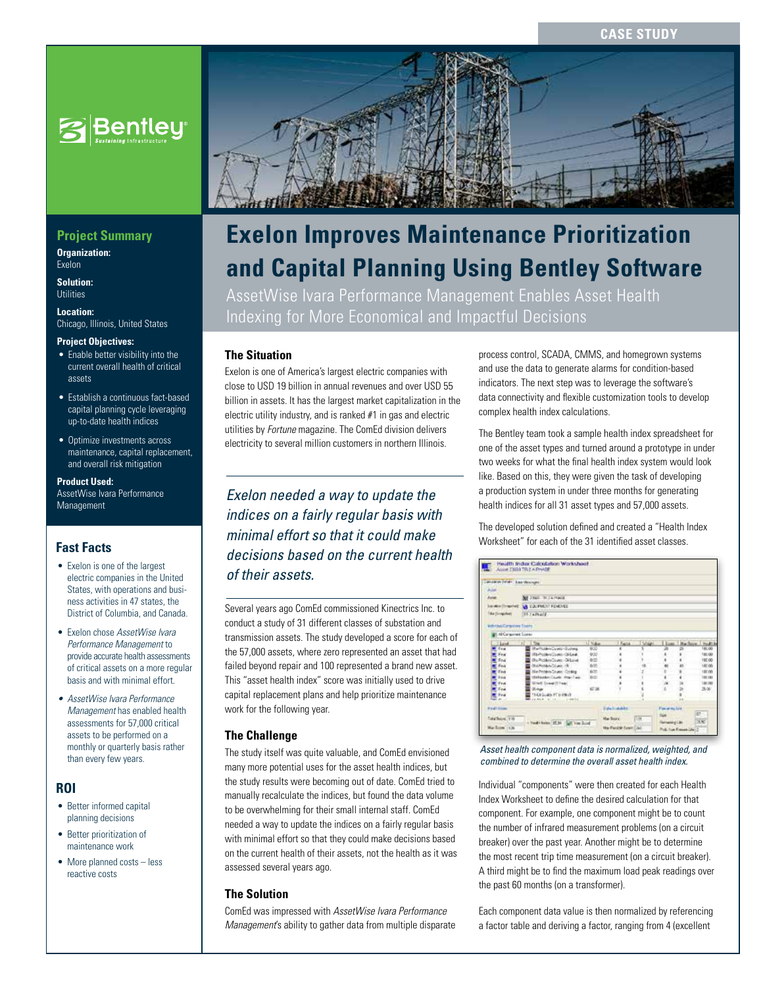**Case Study**



# **Project Summary**

**Organization:**  Exelon

**Solution: Utilities** 

**Location:**  Chicago, Illinois, United States

#### **Project Objectives:**

- Enable better visibility into the current overall health of critical assets
- Establish a continuous fact-based capital planning cycle leveraging up-to-date health indices
- Optimize investments across maintenance, capital replacement, and overall risk mitigation

#### **Product Used:**

AssetWise Ivara Performance Management

# **Fast Facts**

- Exelon is one of the largest electric companies in the United States, with operations and business activities in 47 states, the District of Columbia, and Canada.
- Exelon chose *AssetWise Ivara Performance Management* to provide accurate health assessments of critical assets on a more regular basis and with minimal effort.
- *• AssetWise Ivara Performance Management* has enabled health assessments for 57,000 critical assets to be performed on a monthly or quarterly basis rather than every few years.

### **ROI**

- Better informed capital planning decisions
- Better prioritization of maintenance work
- More planned costs less reactive costs



# **Exelon Improves Maintenance Prioritization and Capital Planning Using Bentley Software**

AssetWise Ivara Performance Management Enables Asset Health Indexing for More Economical and Impactful Decisions

## **The Situation**

Exelon is one of America's largest electric companies with close to USD 19 billion in annual revenues and over USD 55 billion in assets. It has the largest market capitalization in the electric utility industry, and is ranked #1 in gas and electric utilities by *Fortune* magazine. The ComEd division delivers electricity to several million customers in northern Illinois.

*Exelon needed a way to update the indices on a fairly regular basis with minimal effort so that it could make decisions based on the current health of their assets.*

Several years ago ComEd commissioned Kinectrics Inc. to conduct a study of 31 different classes of substation and transmission assets. The study developed a score for each of the 57,000 assets, where zero represented an asset that had failed beyond repair and 100 represented a brand new asset. This "asset health index" score was initially used to drive capital replacement plans and help prioritize maintenance work for the following year.

### **The Challenge**

The study itself was quite valuable, and ComEd envisioned many more potential uses for the asset health indices, but the study results were becoming out of date. ComEd tried to manually recalculate the indices, but found the data volume to be overwhelming for their small internal staff. ComEd needed a way to update the indices on a fairly regular basis with minimal effort so that they could make decisions based on the current health of their assets, not the health as it was assessed several years ago.

### **The Solution**

ComEd was impressed with *AssetWise Ivara Performance Management*'s ability to gather data from multiple disparate process control, SCADA, CMMS, and homegrown systems and use the data to generate alarms for condition-based indicators. The next step was to leverage the software's data connectivity and flexible customization tools to develop complex health index calculations.

The Bentley team took a sample health index spreadsheet for one of the asset types and turned around a prototype in under two weeks for what the final health index system would look like. Based on this, they were given the task of developing a production system in under three months for generating health indices for all 31 asset types and 57,000 assets.

The developed solution defined and created a "Health Index Worksheet" for each of the 31 identified asset classes.

| Actual<br><b>BUT JOINED BELLA PRAISE</b><br>Asiat<br>lines from 1 13 CAPIEN FORMS<br><b>Vita (Singular)</b><br><b>TF TARVATE</b><br><b>Industrial Commonly Soons</b><br><b>Ni Corgoriest Course</b><br>These Vary These Harbory Halls<br>$-11 - 20$<br>1. Vulse<br>Laid<br><b>Oherholders/Junety-Sushered</b><br>800<br>Evid<br>922<br>012-Notices/Courts-Okland<br>Final<br>杂货<br>Oho-Problem Journs - Oh Lovel<br>End<br>655<br>187.06<br>Stationage/State 18<br>Finde<br>wm.<br>Netholen State Coding<br>187.00<br>Einde<br>thréastach Courte (mar l'air-<br>191188<br><b>HE</b><br>Ever<br><b>START Sympatricians</b><br>1.81.295<br>Find<br>S.<br><b>C'M</b><br>$3 - 50$<br>Total<br><b>Of June</b><br><b>START</b><br>TEACAGUAIS PT EI FRUIT<br><b>R</b> Feat<br>$\sim$<br>Taxable public residents<br><b>HARANA</b><br>Pasares Us | Decoration Parish   East Mesinger |                                 |  |                 |  |  |  |        |
|------------------------------------------------------------------------------------------------------------------------------------------------------------------------------------------------------------------------------------------------------------------------------------------------------------------------------------------------------------------------------------------------------------------------------------------------------------------------------------------------------------------------------------------------------------------------------------------------------------------------------------------------------------------------------------------------------------------------------------------------------------------------------------------------------------------------------------------|-----------------------------------|---------------------------------|--|-----------------|--|--|--|--------|
|                                                                                                                                                                                                                                                                                                                                                                                                                                                                                                                                                                                                                                                                                                                                                                                                                                          |                                   |                                 |  |                 |  |  |  |        |
|                                                                                                                                                                                                                                                                                                                                                                                                                                                                                                                                                                                                                                                                                                                                                                                                                                          |                                   |                                 |  |                 |  |  |  |        |
|                                                                                                                                                                                                                                                                                                                                                                                                                                                                                                                                                                                                                                                                                                                                                                                                                                          |                                   |                                 |  |                 |  |  |  |        |
|                                                                                                                                                                                                                                                                                                                                                                                                                                                                                                                                                                                                                                                                                                                                                                                                                                          |                                   |                                 |  |                 |  |  |  |        |
|                                                                                                                                                                                                                                                                                                                                                                                                                                                                                                                                                                                                                                                                                                                                                                                                                                          |                                   |                                 |  |                 |  |  |  |        |
|                                                                                                                                                                                                                                                                                                                                                                                                                                                                                                                                                                                                                                                                                                                                                                                                                                          |                                   |                                 |  |                 |  |  |  |        |
|                                                                                                                                                                                                                                                                                                                                                                                                                                                                                                                                                                                                                                                                                                                                                                                                                                          |                                   |                                 |  |                 |  |  |  |        |
|                                                                                                                                                                                                                                                                                                                                                                                                                                                                                                                                                                                                                                                                                                                                                                                                                                          |                                   |                                 |  |                 |  |  |  |        |
|                                                                                                                                                                                                                                                                                                                                                                                                                                                                                                                                                                                                                                                                                                                                                                                                                                          |                                   |                                 |  |                 |  |  |  | 101.00 |
|                                                                                                                                                                                                                                                                                                                                                                                                                                                                                                                                                                                                                                                                                                                                                                                                                                          |                                   |                                 |  |                 |  |  |  | 130,00 |
|                                                                                                                                                                                                                                                                                                                                                                                                                                                                                                                                                                                                                                                                                                                                                                                                                                          |                                   |                                 |  |                 |  |  |  | 197.00 |
|                                                                                                                                                                                                                                                                                                                                                                                                                                                                                                                                                                                                                                                                                                                                                                                                                                          |                                   |                                 |  |                 |  |  |  |        |
|                                                                                                                                                                                                                                                                                                                                                                                                                                                                                                                                                                                                                                                                                                                                                                                                                                          |                                   |                                 |  |                 |  |  |  |        |
|                                                                                                                                                                                                                                                                                                                                                                                                                                                                                                                                                                                                                                                                                                                                                                                                                                          |                                   |                                 |  |                 |  |  |  |        |
|                                                                                                                                                                                                                                                                                                                                                                                                                                                                                                                                                                                                                                                                                                                                                                                                                                          |                                   |                                 |  |                 |  |  |  |        |
|                                                                                                                                                                                                                                                                                                                                                                                                                                                                                                                                                                                                                                                                                                                                                                                                                                          |                                   |                                 |  |                 |  |  |  |        |
|                                                                                                                                                                                                                                                                                                                                                                                                                                                                                                                                                                                                                                                                                                                                                                                                                                          |                                   |                                 |  |                 |  |  |  |        |
|                                                                                                                                                                                                                                                                                                                                                                                                                                                                                                                                                                                                                                                                                                                                                                                                                                          |                                   |                                 |  |                 |  |  |  |        |
| <b>ET</b>                                                                                                                                                                                                                                                                                                                                                                                                                                                                                                                                                                                                                                                                                                                                                                                                                                |                                   |                                 |  | <b>Davidade</b> |  |  |  |        |
|                                                                                                                                                                                                                                                                                                                                                                                                                                                                                                                                                                                                                                                                                                                                                                                                                                          |                                   | - Hard Links (F.M. GE Von Bood) |  |                 |  |  |  | 380    |
| Tata'Socie: 318<br><b>Har Souric</b><br><b>T</b> UM<br><b>Terrare class</b>                                                                                                                                                                                                                                                                                                                                                                                                                                                                                                                                                                                                                                                                                                                                                              |                                   |                                 |  |                 |  |  |  |        |

*Asset health component data is normalized, weighted, and combined to determine the overall asset health index.*

Individual "components" were then created for each Health Index Worksheet to define the desired calculation for that component. For example, one component might be to count the number of infrared measurement problems (on a circuit breaker) over the past year. Another might be to determine the most recent trip time measurement (on a circuit breaker). A third might be to find the maximum load peak readings over the past 60 months (on a transformer).

Each component data value is then normalized by referencing a factor table and deriving a factor, ranging from 4 (excellent